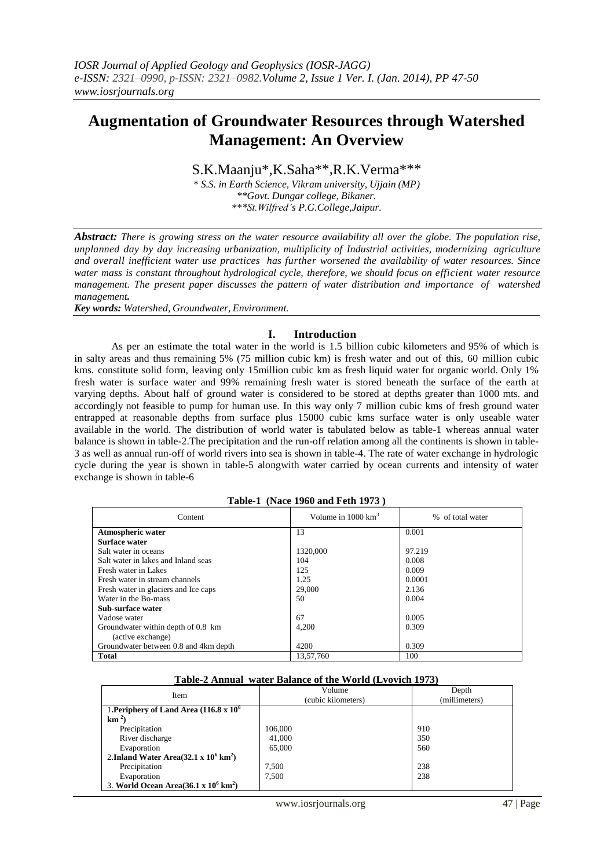# **Augmentation of Groundwater Resources through Watershed Management: An Overview**

S.K.Maanju\*,K.Saha\*\*,R.K.Verma\*\*\*

*\* S.S. in Earth Science, Vikram university, Ujjain (MP) \*\*Govt. Dungar college, Bikaner. \*\*\*St.Wilfred's P.G.College,Jaipur.*

*Abstract: There is growing stress on the water resource availability all over the globe. The population rise, unplanned day by day increasing urbanization, multiplicity of Industrial activities, modernizing agriculture and overall inefficient water use practices has further worsened the availability of water resources. Since water mass is constant throughout hydrological cycle, therefore, we should focus on efficient water resource management. The present paper discusses the pattern of water distribution and importance of watershed management.*

*Key words: Watershed, Groundwater, Environment.*

## **I. Introduction**

As per an estimate the total water in the world is 1.5 billion cubic kilometers and 95% of which is in salty areas and thus remaining 5% (75 million cubic km) is fresh water and out of this, 60 million cubic kms. constitute solid form, leaving only 15million cubic km as fresh liquid water for organic world. Only 1% fresh water is surface water and 99% remaining fresh water is stored beneath the surface of the earth at varying depths. About half of ground water is considered to be stored at depths greater than 1000 mts. and accordingly not feasible to pump for human use. In this way only 7 million cubic kms of fresh ground water entrapped at reasonable depths from surface plus 15000 cubic kms surface water is only useable water available in the world. The distribution of world water is tabulated below as table-1 whereas annual water balance is shown in table-2.The precipitation and the run-off relation among all the continents is shown in table-3 as well as annual run-off of world rivers into sea is shown in table-4. The rate of water exchange in hydrologic cycle during the year is shown in table-5 alongwith water carried by ocean currents and intensity of water exchange is shown in table-6

|                                       | $1400 \times 1000$ and $100 \times 100$ |                  |
|---------------------------------------|-----------------------------------------|------------------|
| Content                               | Volume in $1000 \text{ km}^3$           | % of total water |
| <b>Atmospheric water</b>              | 13                                      | 0.001            |
| Surface water                         |                                         |                  |
| Salt water in oceans                  | 1320,000                                | 97.219           |
| Salt water in lakes and Inland seas   | 104                                     | 0.008            |
| Fresh water in Lakes                  | 125                                     | 0.009            |
| Fresh water in stream channels        | 1.25                                    | 0.0001           |
| Fresh water in glaciers and Ice caps  | 29,000                                  | 2.136            |
| Water in the Bo-mass                  | 50                                      | 0.004            |
| Sub-surface water                     |                                         |                  |
| Vadose water                          | 67                                      | 0.005            |
| Groundwater within depth of 0.8 km    | 4,200                                   | 0.309            |
| (active exchange)                     |                                         |                  |
| Groundwater between 0.8 and 4km depth | 4200                                    | 0.309            |
| <b>Total</b>                          | 13,57,760                               | 100              |

#### **Table-1 (Nace 1960 and Feth 1973 )**

#### **Table-2 Annual water Balance of the World (Lvovich 1973)**

| Item                                                  | Volume             | Depth         |  |
|-------------------------------------------------------|--------------------|---------------|--|
|                                                       | (cubic kilometers) | (millimeters) |  |
| 1. Periphery of Land Area $(116.8 \times 10^6$        |                    |               |  |
| $km^2$                                                |                    |               |  |
| Precipitation                                         | 106,000            | 910           |  |
| River discharge                                       | 41,000             | 350           |  |
| Evaporation                                           | 65,000             | 560           |  |
| 2.Inland Water Area $(32.1 \times 10^6 \text{ km}^2)$ |                    |               |  |
| Precipitation                                         | 7,500              | 238           |  |
| Evaporation                                           | 7.500              | 238           |  |
| 3. World Ocean Area $(36.1 \times 10^6 \text{ km}^2)$ |                    |               |  |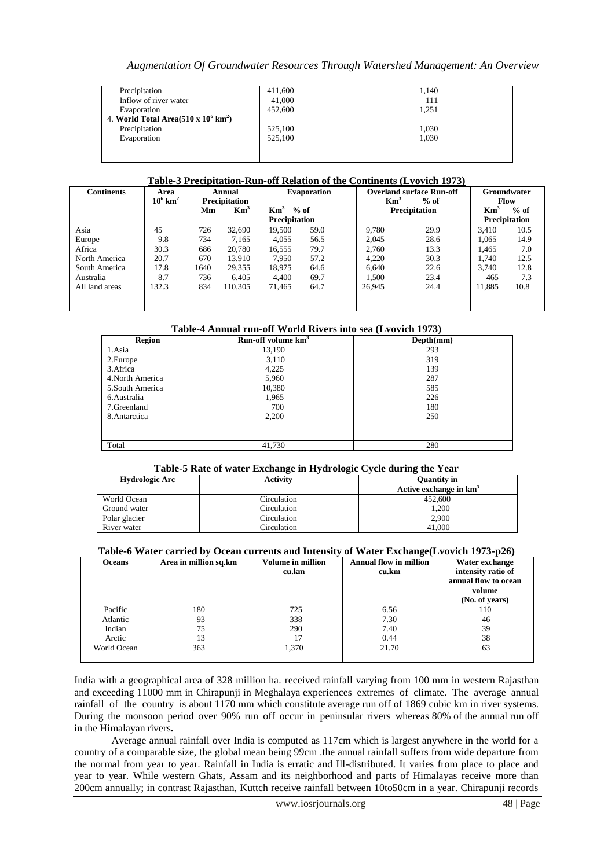| Precipitation                                      | 411,600 | 1,140 |
|----------------------------------------------------|---------|-------|
| Inflow of river water                              | 41,000  | 111   |
| Evaporation                                        | 452,600 | 1,251 |
| 4. World Total Area(510 x $10^6$ km <sup>2</sup> ) |         |       |
| Precipitation                                      | 525,100 | 1,030 |
| Evaporation                                        | 525,100 | 1,030 |
|                                                    |         |       |
|                                                    |         |       |

#### **Table-3 Precipitation-Run-off Relation of the Continents (Lvovich 1973)**

| Continents     | Area                   | Annual               |                 | <b>Evaporation</b>   |        | <b>Overland surface Run-off</b> |                      | Groundwater     |                      |
|----------------|------------------------|----------------------|-----------------|----------------------|--------|---------------------------------|----------------------|-----------------|----------------------|
|                | $10^6$ km <sup>2</sup> | <b>Precipitation</b> |                 |                      |        | $\mathbf{Km}^3$                 | $%$ of               |                 | Flow                 |
|                |                        | Мm                   | Km <sup>3</sup> | $\mathrm{Km}^3$      | $%$ of |                                 | <b>Precipitation</b> | $\mathbf{Km}^3$ | $%$ of               |
|                |                        |                      |                 | <b>Precipitation</b> |        |                                 |                      |                 | <b>Precipitation</b> |
| Asia           | 45                     | 726                  | 32,690          | 19.500               | 59.0   | 9.780                           | 29.9                 | 3.410           | 10.5                 |
| Europe         | 9.8                    | 734                  | 7.165           | 4,055                | 56.5   | 2.045                           | 28.6                 | 1.065           | 14.9                 |
| Africa         | 30.3                   | 686                  | 20,780          | 16,555               | 79.7   | 2.760                           | 13.3                 | 1.465           | 7.0                  |
| North America  | 20.7                   | 670                  | 13.910          | 7.950                | 57.2   | 4.220                           | 30.3                 | 1.740           | 12.5                 |
| South America  | 17.8                   | 1640                 | 29,355          | 18.975               | 64.6   | 6.640                           | 22.6                 | 3.740           | 12.8                 |
| Australia      | 8.7                    | 736                  | 6.405           | 4.400                | 69.7   | 1.500                           | 23.4                 | 465             | 7.3                  |
| All land areas | 132.3                  | 834                  | 110.305         | 71.465               | 64.7   | 26,945                          | 24.4                 | 11,885          | 10.8                 |
|                |                        |                      |                 |                      |        |                                 |                      |                 |                      |
|                |                        |                      |                 |                      |        |                                 |                      |                 |                      |

### **Table-4 Annual run-off World Rivers into sea (Lvovich 1973)**

| <b>Region</b>    | Run-off volume km <sup>3</sup> | Depth(mm) |
|------------------|--------------------------------|-----------|
| 1.Asia           | 13,190                         | 293       |
| 2. Europe        | 3,110                          | 319       |
| 3. Africa        | 4,225                          | 139       |
| 4. North America | 5,960                          | 287       |
| 5. South America | 10,380                         | 585       |
| 6. Australia     | 1,965                          | 226       |
| 7. Greenland     | 700                            | 180       |
| 8. Antarctica    | 2,200                          | 250       |
|                  |                                |           |
|                  |                                |           |
| Total            | 41,730                         | 280       |

## **Table-5 Rate of water Exchange in Hydrologic Cycle during the Year**

| <b>Hydrologic Arc</b> | <b>Activity</b> | <b>Quantity in</b>       |  |
|-----------------------|-----------------|--------------------------|--|
|                       |                 | Active exchange in $km3$ |  |
| World Ocean           | Circulation     | 452,600                  |  |
| Ground water          | Circulation     | 1,200                    |  |
| Polar glacier         | Circulation     | 2,900                    |  |
| River water           | Circulation     | 41,000                   |  |

#### **Table-6 Water carried by Ocean currents and Intensity of Water Exchange(Lvovich 1973-p26)**

| <b>Oceans</b> | Area in million sq.km | Volume in million<br>cu.km | $\sim$<br><b>Annual flow in million</b><br>cu.km | Water exchange<br>intensity ratio of<br>annual flow to ocean<br>volume<br>(No. of years) |
|---------------|-----------------------|----------------------------|--------------------------------------------------|------------------------------------------------------------------------------------------|
| Pacific       | 180                   | 725                        | 6.56                                             | 110                                                                                      |
| Atlantic      | 93                    | 338                        | 7.30                                             | 46                                                                                       |
| Indian        | 75                    | 290                        | 7.40                                             | 39                                                                                       |
| Arctic        | 13                    | 17                         | 0.44                                             | 38                                                                                       |
| World Ocean   | 363                   | 1,370                      | 21.70                                            | 63                                                                                       |

India with a geographical area of 328 million ha. received rainfall varying from 100 mm in western Rajasthan and exceeding 11000 mm in Chirapunji in Meghalaya experiences extremes of climate. The average annual rainfall of the country is about 1170 mm which constitute average run off of 1869 cubic km in river systems. During the monsoon period over 90% run off occur in peninsular rivers whereas 80% of the annual run off in the Himalayan rivers**.**

Average annual rainfall over India is computed as 117cm which is largest anywhere in the world for a country of a comparable size, the global mean being 99cm .the annual rainfall suffers from wide departure from the normal from year to year. Rainfall in India is erratic and Ill-distributed. It varies from place to place and year to year. While western Ghats, Assam and its neighborhood and parts of Himalayas receive more than 200cm annually; in contrast Rajasthan, Kuttch receive rainfall between 10to50cm in a year. Chirapunji records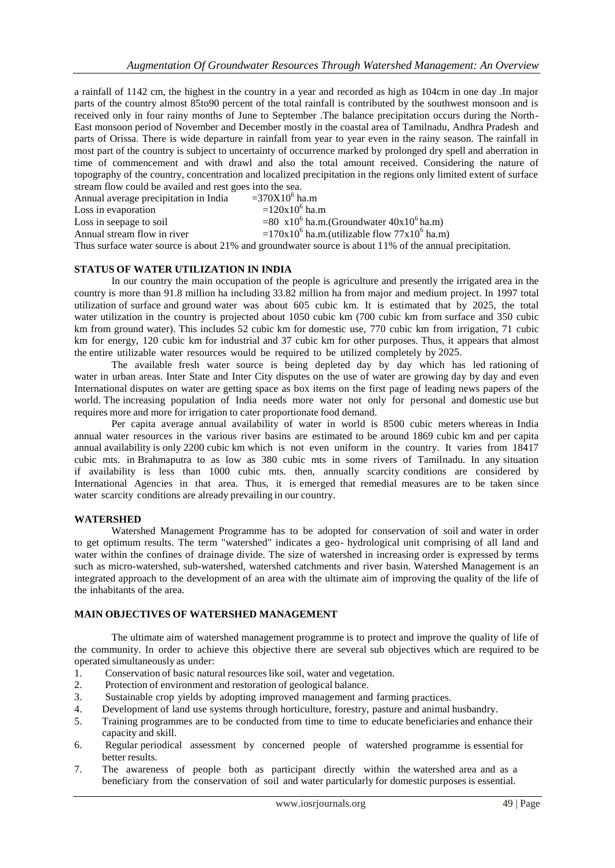a rainfall of 1142 cm, the highest in the country in a year and recorded as high as 104cm in one day .In major parts of the country almost 85to90 percent of the total rainfall is contributed by the southwest monsoon and is received only in four rainy months of June to September .The balance precipitation occurs during the North-East monsoon period of November and December mostly in the coastal area of Tamilnadu, Andhra Pradesh and parts of Orissa. There is wide departure in rainfall from year to year even in the rainy season. The rainfall in most part of the country is subject to uncertainty of occurrence marked by prolonged dry spell and aberration in time of commencement and with drawl and also the total amount received. Considering the nature of topography of the country, concentration and localized precipitation in the regions only limited extent of surface stream flow could be availed and rest goes into the sea.

| Annual average precipitation in India | $=370X10^6$ ha.m                                                                                        |
|---------------------------------------|---------------------------------------------------------------------------------------------------------|
| Loss in evaporation                   | $=120x10^6$ ha.m                                                                                        |
| Loss in seepage to soil               | $= 80 \times 10^{6}$ ha.m.(Groundwater $40x10^{6}$ ha.m)                                                |
| Annual stream flow in river           | $=170x10^{6}$ ha.m.(utilizable flow $77x10^{6}$ ha.m)                                                   |
|                                       | Thus surface water source is about 21% and groundwater source is about 11% of the annual precipitation. |
|                                       |                                                                                                         |

#### **STATUS OF WATER UTILIZATION IN INDIA**

In our country the main occupation of the people is agriculture and presently the irrigated area in the country is more than 91.8 million ha including 33.82 million ha from major and medium project. In 1997 total utilization of surface and ground water was about 605 cubic km. It is estimated that by 2025, the total water utilization in the country is projected about 1050 cubic km (700 cubic km from surface and 350 cubic km from ground water). This includes 52 cubic km for domestic use, 770 cubic km from irrigation, 71 cubic km for energy, 120 cubic km for industrial and 37 cubic km for other purposes. Thus, it appears that almost the entire utilizable water resources would be required to be utilized completely by 2025.

The available fresh water source is being depleted day by day which has led rationing of water in urban areas. Inter State and Inter City disputes on the use of water are growing day by day and even International disputes on water are getting space as box items on the first page of leading news papers of the world. The increasing population of India needs more water not only for personal and domestic use but requires more and more for irrigation to cater proportionate food demand.

Per capita average annual availability of water in world is 8500 cubic meters whereas in India annual water resources in the various river basins are estimated to be around 1869 cubic km and per capita annual availability is only 2200 cubic km which is not even uniform in the country. It varies from 18417 cubic mts. in Brahmaputra to as low as 380 cubic mts in some rivers of Tamilnadu. In any situation if availability is less than 1000 cubic mts. then, annually scarcity conditions are considered by International Agencies in that area. Thus, it is emerged that remedial measures are to be taken since water scarcity conditions are already prevailing in our country.

#### **WATERSHED**

Watershed Management Programme has to be adopted for conservation of soil and water in order to get optimum results. The term "watershed" indicates a geo- hydrological unit comprising of all land and water within the confines of drainage divide. The size of watershed in increasing order is expressed by terms such as micro-watershed, sub-watershed, watershed catchments and river basin. Watershed Management is an integrated approach to the development of an area with the ultimate aim of improving the quality of the life of the inhabitants of the area.

## **MAIN OBJECTIVES OF WATERSHED MANAGEMENT**

The ultimate aim of watershed management programme is to protect and improve the quality of life of the community. In order to achieve this objective there are several sub objectives which are required to be operated simultaneously as under:

- 1. Conservation of basic natural resourceslike soil, water and vegetation.
- 2. Protection of environment and restoration of geological balance.
- 3. Sustainable crop yields by adopting improved management and farming practices.
- 4. Development of land use systems through horticulture, forestry, pasture and animal husbandry.
- 5. Training programmes are to be conducted from time to time to educate beneficiaries and enhance their capacity and skill.
- 6. Regular periodical assessment by concerned people of watershed programme is essential for better results.
- 7. The awareness of people both as participant directly within the watershed area and as a beneficiary from the conservation of soil and water particularly for domestic purposes is essential.